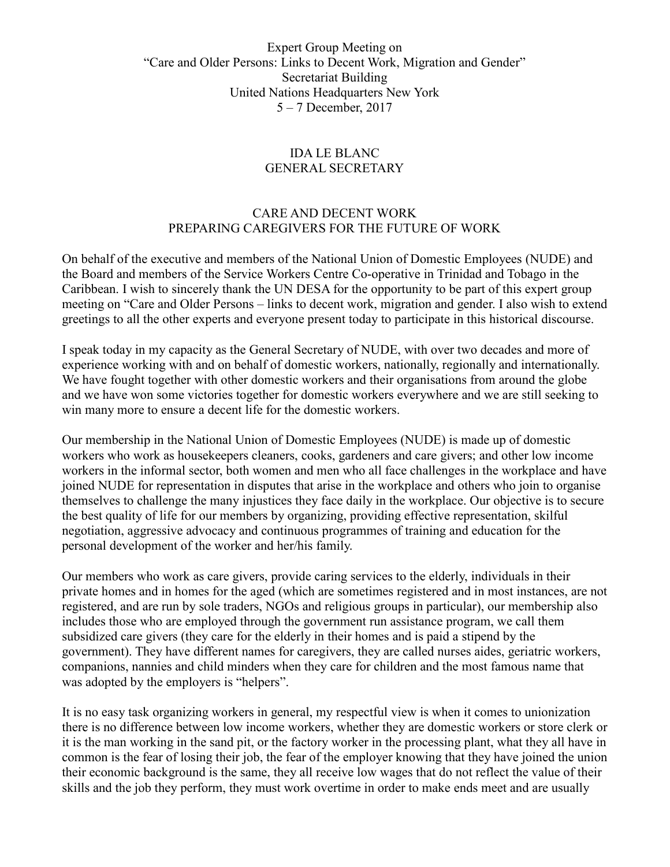## Expert Group Meeting on "Care and Older Persons: Links to Decent Work, Migration and Gender" Secretariat Building United Nations Headquarters New York 5 – 7 December, 2017

## IDA LE BLANC GENERAL SECRETARY

## CARE AND DECENT WORK PREPARING CAREGIVERS FOR THE FUTURE OF WORK

On behalf of the executive and members of the National Union of Domestic Employees (NUDE) and the Board and members of the Service Workers Centre Co-operative in Trinidad and Tobago in the Caribbean. I wish to sincerely thank the UN DESA for the opportunity to be part of this expert group meeting on "Care and Older Persons – links to decent work, migration and gender. I also wish to extend greetings to all the other experts and everyone present today to participate in this historical discourse.

I speak today in my capacity as the General Secretary of NUDE, with over two decades and more of experience working with and on behalf of domestic workers, nationally, regionally and internationally. We have fought together with other domestic workers and their organisations from around the globe and we have won some victories together for domestic workers everywhere and we are still seeking to win many more to ensure a decent life for the domestic workers.

Our membership in the National Union of Domestic Employees (NUDE) is made up of domestic workers who work as housekeepers cleaners, cooks, gardeners and care givers; and other low income workers in the informal sector, both women and men who all face challenges in the workplace and have joined NUDE for representation in disputes that arise in the workplace and others who join to organise themselves to challenge the many injustices they face daily in the workplace. Our objective is to secure the best quality of life for our members by organizing, providing effective representation, skilful negotiation, aggressive advocacy and continuous programmes of training and education for the personal development of the worker and her/his family.

Our members who work as care givers, provide caring services to the elderly, individuals in their private homes and in homes for the aged (which are sometimes registered and in most instances, are not registered, and are run by sole traders, NGOs and religious groups in particular), our membership also includes those who are employed through the government run assistance program, we call them subsidized care givers (they care for the elderly in their homes and is paid a stipend by the government). They have different names for caregivers, they are called nurses aides, geriatric workers, companions, nannies and child minders when they care for children and the most famous name that was adopted by the employers is "helpers".

It is no easy task organizing workers in general, my respectful view is when it comes to unionization there is no difference between low income workers, whether they are domestic workers or store clerk or it is the man working in the sand pit, or the factory worker in the processing plant, what they all have in common is the fear of losing their job, the fear of the employer knowing that they have joined the union their economic background is the same, they all receive low wages that do not reflect the value of their skills and the job they perform, they must work overtime in order to make ends meet and are usually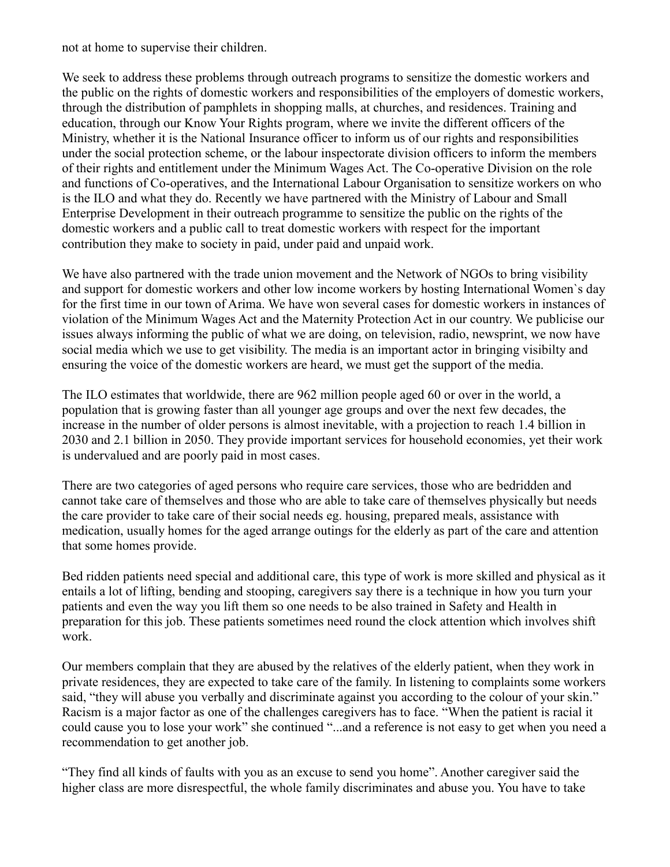not at home to supervise their children.

We seek to address these problems through outreach programs to sensitize the domestic workers and the public on the rights of domestic workers and responsibilities of the employers of domestic workers, through the distribution of pamphlets in shopping malls, at churches, and residences. Training and education, through our Know Your Rights program, where we invite the different officers of the Ministry, whether it is the National Insurance officer to inform us of our rights and responsibilities under the social protection scheme, or the labour inspectorate division officers to inform the members of their rights and entitlement under the Minimum Wages Act. The Co-operative Division on the role and functions of Co-operatives, and the International Labour Organisation to sensitize workers on who is the ILO and what they do. Recently we have partnered with the Ministry of Labour and Small Enterprise Development in their outreach programme to sensitize the public on the rights of the domestic workers and a public call to treat domestic workers with respect for the important contribution they make to society in paid, under paid and unpaid work.

We have also partnered with the trade union movement and the Network of NGOs to bring visibility and support for domestic workers and other low income workers by hosting International Women`s day for the first time in our town of Arima. We have won several cases for domestic workers in instances of violation of the Minimum Wages Act and the Maternity Protection Act in our country. We publicise our issues always informing the public of what we are doing, on television, radio, newsprint, we now have social media which we use to get visibility. The media is an important actor in bringing visibilty and ensuring the voice of the domestic workers are heard, we must get the support of the media.

The ILO estimates that worldwide, there are 962 million people aged 60 or over in the world, a population that is growing faster than all younger age groups and over the next few decades, the increase in the number of older persons is almost inevitable, with a projection to reach 1.4 billion in 2030 and 2.1 billion in 2050. They provide important services for household economies, yet their work is undervalued and are poorly paid in most cases.

There are two categories of aged persons who require care services, those who are bedridden and cannot take care of themselves and those who are able to take care of themselves physically but needs the care provider to take care of their social needs eg. housing, prepared meals, assistance with medication, usually homes for the aged arrange outings for the elderly as part of the care and attention that some homes provide.

Bed ridden patients need special and additional care, this type of work is more skilled and physical as it entails a lot of lifting, bending and stooping, caregivers say there is a technique in how you turn your patients and even the way you lift them so one needs to be also trained in Safety and Health in preparation for this job. These patients sometimes need round the clock attention which involves shift work.

Our members complain that they are abused by the relatives of the elderly patient, when they work in private residences, they are expected to take care of the family. In listening to complaints some workers said, "they will abuse you verbally and discriminate against you according to the colour of your skin." Racism is a major factor as one of the challenges caregivers has to face. "When the patient is racial it could cause you to lose your work" she continued "...and a reference is not easy to get when you need a recommendation to get another job.

"They find all kinds of faults with you as an excuse to send you home". Another caregiver said the higher class are more disrespectful, the whole family discriminates and abuse you. You have to take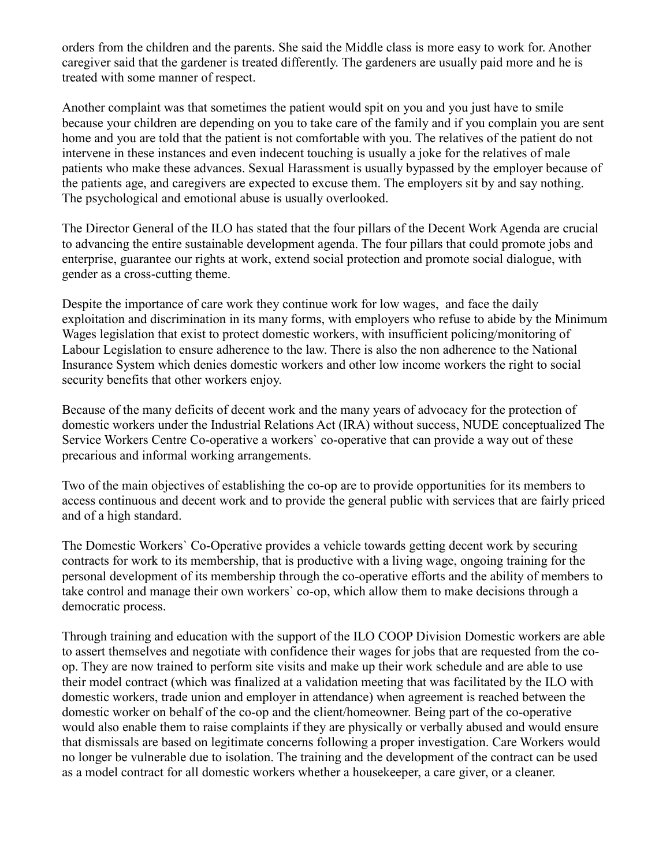orders from the children and the parents. She said the Middle class is more easy to work for. Another caregiver said that the gardener is treated differently. The gardeners are usually paid more and he is treated with some manner of respect.

Another complaint was that sometimes the patient would spit on you and you just have to smile because your children are depending on you to take care of the family and if you complain you are sent home and you are told that the patient is not comfortable with you. The relatives of the patient do not intervene in these instances and even indecent touching is usually a joke for the relatives of male patients who make these advances. Sexual Harassment is usually bypassed by the employer because of the patients age, and caregivers are expected to excuse them. The employers sit by and say nothing. The psychological and emotional abuse is usually overlooked.

The Director General of the ILO has stated that the four pillars of the Decent Work Agenda are crucial to advancing the entire sustainable development agenda. The four pillars that could promote jobs and enterprise, guarantee our rights at work, extend social protection and promote social dialogue, with gender as a cross-cutting theme.

Despite the importance of care work they continue work for low wages, and face the daily exploitation and discrimination in its many forms, with employers who refuse to abide by the Minimum Wages legislation that exist to protect domestic workers, with insufficient policing/monitoring of Labour Legislation to ensure adherence to the law. There is also the non adherence to the National Insurance System which denies domestic workers and other low income workers the right to social security benefits that other workers enjoy.

Because of the many deficits of decent work and the many years of advocacy for the protection of domestic workers under the Industrial Relations Act (IRA) without success, NUDE conceptualized The Service Workers Centre Co-operative a workers` co-operative that can provide a way out of these precarious and informal working arrangements.

Two of the main objectives of establishing the co-op are to provide opportunities for its members to access continuous and decent work and to provide the general public with services that are fairly priced and of a high standard.

The Domestic Workers` Co-Operative provides a vehicle towards getting decent work by securing contracts for work to its membership, that is productive with a living wage, ongoing training for the personal development of its membership through the co-operative efforts and the ability of members to take control and manage their own workers` co-op, which allow them to make decisions through a democratic process.

Through training and education with the support of the ILO COOP Division Domestic workers are able to assert themselves and negotiate with confidence their wages for jobs that are requested from the coop. They are now trained to perform site visits and make up their work schedule and are able to use their model contract (which was finalized at a validation meeting that was facilitated by the ILO with domestic workers, trade union and employer in attendance) when agreement is reached between the domestic worker on behalf of the co-op and the client/homeowner. Being part of the co-operative would also enable them to raise complaints if they are physically or verbally abused and would ensure that dismissals are based on legitimate concerns following a proper investigation. Care Workers would no longer be vulnerable due to isolation. The training and the development of the contract can be used as a model contract for all domestic workers whether a housekeeper, a care giver, or a cleaner.